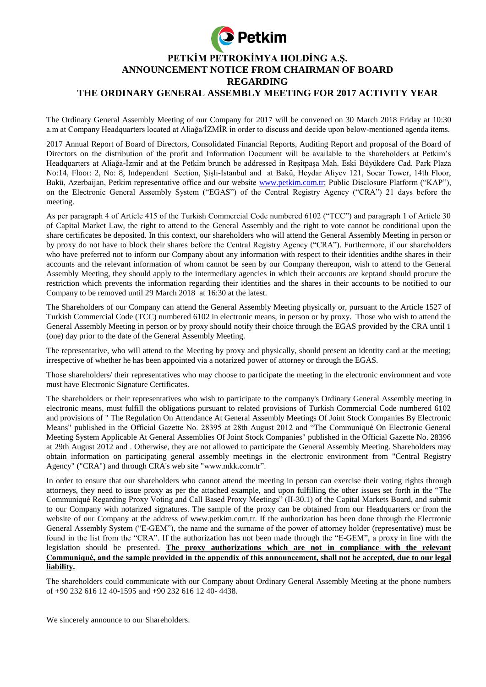

The Ordinary General Assembly Meeting of our Company for 2017 will be convened on 30 March 2018 Friday at 10:30 a.m at Company Headquarters located at Aliağa/İZMİR in order to discuss and decide upon below-mentioned agenda items.

2017 Annual Report of Board of Directors, Consolidated Financial Reports, Auditing Report and proposal of the Board of Directors on the distribution of the profit and Information Document will be available to the shareholders at Petkim's Headquarters at Aliağa-İzmir and at the Petkim brunch be addressed in Reşitpaşa Mah. Eski Büyükdere Cad. Park Plaza No:14, Floor: 2, No: 8, Independent Section, Şişli-İstanbul and at Bakü, Heydar Aliyev 121, Socar Tower, 14th Floor, Bakü, Azerbaijan, Petkim representative office and our website [www.petkim.com.tr;](http://www.petkim.com.tr/) Public Disclosure Platform ("KAP"), on the Electronic General Assembly System ("EGAS") of the Central Registry Agency ("CRA") 21 days before the meeting.

As per paragraph 4 of Article 415 of the Turkish Commercial Code numbered 6102 ("TCC") and paragraph 1 of Article 30 of Capital Market Law, the right to attend to the General Assembly and the right to vote cannot be conditional upon the share certificates be deposited. In this context, our shareholders who will attend the General Assembly Meeting in person or by proxy do not have to block their shares before the Central Registry Agency ("CRA"). Furthermore, if our shareholders who have preferred not to inform our Company about any information with respect to their identities andthe shares in their accounts and the relevant information of whom cannot be seen by our Company thereupon, wish to attend to the General Assembly Meeting, they should apply to the intermediary agencies in which their accounts are keptand should procure the restriction which prevents the information regarding their identities and the shares in their accounts to be notified to our Company to be removed until 29 March 2018 at 16:30 at the latest.

The Shareholders of our Company can attend the General Assembly Meeting physically or, pursuant to the Article 1527 of Turkish Commercial Code (TCC) numbered 6102 in electronic means, in person or by proxy. Those who wish to attend the General Assembly Meeting in person or by proxy should notify their choice through the EGAS provided by the CRA until 1 (one) day prior to the date of the General Assembly Meeting.

The representative, who will attend to the Meeting by proxy and physically, should present an identity card at the meeting; irrespective of whether he has been appointed via a notarized power of attorney or through the EGAS.

Those shareholders/ their representatives who may choose to participate the meeting in the electronic environment and vote must have Electronic Signature Certificates.

The shareholders or their representatives who wish to participate to the company's Ordinary General Assembly meeting in electronic means, must fulfill the obligations pursuant to related provisions of Turkish Commercial Code numbered 6102 and provisions of " The Regulation On Attendance At General Assembly Meetings Of Joint Stock Companies By Electronic Means" published in the Official Gazette No. 28395 at 28th August 2012 and "The Communiqué On Electronic General Meeting System Applicable At General Assemblies Of Joint Stock Companies" published in the Official Gazette No. 28396 at 29th August 2012 and . Otherwise, they are not allowed to participate the General Assembly Meeting. Shareholders may obtain information on participating general assembly meetings in the electronic environment from "Central Registry Agency" ("CRA") and through CRA's web site "www.mkk.com.tr".

In order to ensure that our shareholders who cannot attend the meeting in person can exercise their voting rights through attorneys, they need to issue proxy as per the attached example, and upon fulfilling the other issues set forth in the "The Communiqué Regarding Proxy Voting and Call Based Proxy Meetings" (II-30.1) of the Capital Markets Board, and submit to our Company with notarized signatures. The sample of the proxy can be obtained from our Headquarters or from the website of our Company at the address of www.petkim.com.tr. If the authorization has been done through the Electronic General Assembly System ("E-GEM"), the name and the surname of the power of attorney holder (representative) must be found in the list from the "CRA". If the authorization has not been made through the "E-GEM", a proxy in line with the legislation should be presented. **The proxy authorizations which are not in compliance with the relevant Communiqué, and the sample provided in the appendix of this announcement, shall not be accepted, due to our legal liability.**

The shareholders could communicate with our Company about Ordinary General Assembly Meeting at the phone numbers of +90 232 616 12 40-1595 and +90 232 616 12 40- 4438.

We sincerely announce to our Shareholders.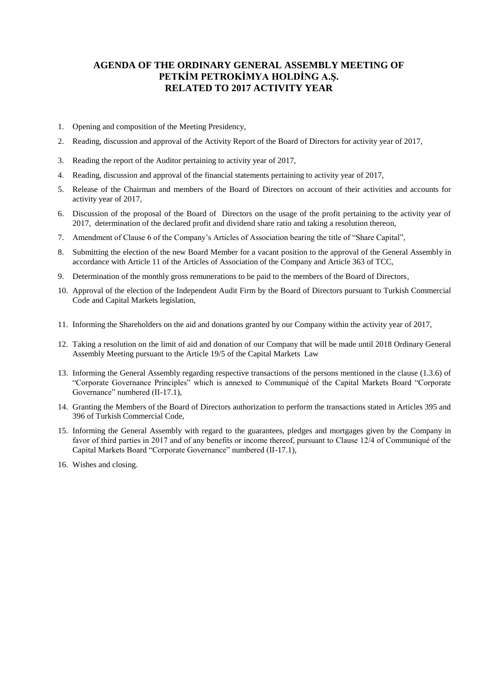## **AGENDA OF THE ORDINARY GENERAL ASSEMBLY MEETING OF PETKİM PETROKİMYA HOLDİNG A.Ş. RELATED TO 2017 ACTIVITY YEAR**

- 1. Opening and composition of the Meeting Presidency,
- 2. Reading, discussion and approval of the Activity Report of the Board of Directors for activity year of 2017,
- 3. Reading the report of the Auditor pertaining to activity year of 2017,
- 4. Reading, discussion and approval of the financial statements pertaining to activity year of 2017,
- 5. Release of the Chairman and members of the Board of Directors on account of their activities and accounts for activity year of 2017,
- 6. Discussion of the proposal of the Board of Directors on the usage of the profit pertaining to the activity year of 2017, determination of the declared profit and dividend share ratio and taking a resolution thereon,
- 7. Amendment of Clause 6 of the Company's Articles of Association bearing the title of "Share Capital",
- 8. Submitting the election of the new Board Member for a vacant position to the approval of the General Assembly in accordance with Article 11 of the Articles of Association of the Company and Article 363 of TCC,
- 9. Determination of the monthly gross remunerations to be paid to the members of the Board of Directors,
- 10. Approval of the election of the Independent Audit Firm by the Board of Directors pursuant to Turkish Commercial Code and Capital Markets legislation,
- 11. Informing the Shareholders on the aid and donations granted by our Company within the activity year of 2017,
- 12. Taking a resolution on the limit of aid and donation of our Company that will be made until 2018 Ordinary General Assembly Meeting pursuant to the Article 19/5 of the Capital Markets Law
- 13. Informing the General Assembly regarding respective transactions of the persons mentioned in the clause (1.3.6) of "Corporate Governance Principles" which is annexed to Communiqué of the Capital Markets Board "Corporate Governance" numbered (II-17.1),
- 14. Granting the Members of the Board of Directors authorization to perform the transactions stated in Articles 395 and 396 of Turkish Commercial Code,
- 15. Informing the General Assembly with regard to the guarantees, pledges and mortgages given by the Company in favor of third parties in 2017 and of any benefits or income thereof, pursuant to Clause 12/4 of Communiqué of the Capital Markets Board "Corporate Governance" numbered (II-17.1),
- 16. Wishes and closing.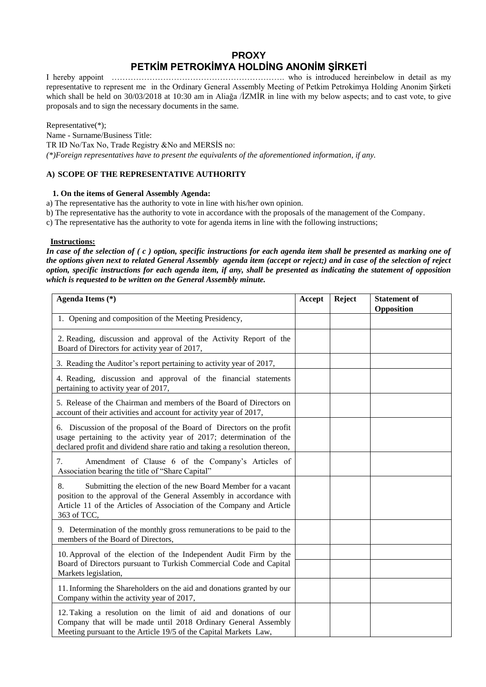# **PROXY PETKİM PETROKİMYA HOLDİNG ANONİM ŞİRKETİ**

I hereby appoint ………………………………………………………. who is introduced hereinbelow in detail as my representative to represent me in the Ordinary General Assembly Meeting of Petkim Petrokimya Holding Anonim Şirketi which shall be held on 30/03/2018 at 10:30 am in Aliağa /İZMİR in line with my below aspects; and to cast vote, to give proposals and to sign the necessary documents in the same.

Representative(\*); Name - Surname/Business Title: TR ID No/Tax No, Trade Registry &No and MERSİS no: *(\*)Foreign representatives have to present the equivalents of the aforementioned information, if any.* 

### **A) SCOPE OF THE REPRESENTATIVE AUTHORITY**

#### **1. On the items of General Assembly Agenda:**

- a) The representative has the authority to vote in line with his/her own opinion.
- b) The representative has the authority to vote in accordance with the proposals of the management of the Company.
- c) The representative has the authority to vote for agenda items in line with the following instructions;

#### **Instructions:**

*In case of the selection of ( c ) option, specific instructions for each agenda item shall be presented as marking one of the options given next to related General Assembly agenda item (accept or reject;) and in case of the selection of reject option, specific instructions for each agenda item, if any, shall be presented as indicating the statement of opposition which is requested to be written on the General Assembly minute.*

| Agenda Items (*)                                                                                                                                                                                                                 | Accept | Reject | <b>Statement of</b><br>Opposition |
|----------------------------------------------------------------------------------------------------------------------------------------------------------------------------------------------------------------------------------|--------|--------|-----------------------------------|
| 1. Opening and composition of the Meeting Presidency,                                                                                                                                                                            |        |        |                                   |
| 2. Reading, discussion and approval of the Activity Report of the<br>Board of Directors for activity year of 2017,                                                                                                               |        |        |                                   |
| 3. Reading the Auditor's report pertaining to activity year of 2017,                                                                                                                                                             |        |        |                                   |
| 4. Reading, discussion and approval of the financial statements<br>pertaining to activity year of 2017,                                                                                                                          |        |        |                                   |
| 5. Release of the Chairman and members of the Board of Directors on<br>account of their activities and account for activity year of 2017,                                                                                        |        |        |                                   |
| 6. Discussion of the proposal of the Board of Directors on the profit<br>usage pertaining to the activity year of 2017; determination of the<br>declared profit and dividend share ratio and taking a resolution thereon,        |        |        |                                   |
| 7.<br>Amendment of Clause 6 of the Company's Articles of<br>Association bearing the title of "Share Capital"                                                                                                                     |        |        |                                   |
| 8.<br>Submitting the election of the new Board Member for a vacant<br>position to the approval of the General Assembly in accordance with<br>Article 11 of the Articles of Association of the Company and Article<br>363 of TCC, |        |        |                                   |
| 9. Determination of the monthly gross remunerations to be paid to the<br>members of the Board of Directors,                                                                                                                      |        |        |                                   |
| 10. Approval of the election of the Independent Audit Firm by the<br>Board of Directors pursuant to Turkish Commercial Code and Capital<br>Markets legislation,                                                                  |        |        |                                   |
| 11. Informing the Shareholders on the aid and donations granted by our<br>Company within the activity year of 2017,                                                                                                              |        |        |                                   |
| 12. Taking a resolution on the limit of aid and donations of our<br>Company that will be made until 2018 Ordinary General Assembly<br>Meeting pursuant to the Article 19/5 of the Capital Markets Law,                           |        |        |                                   |